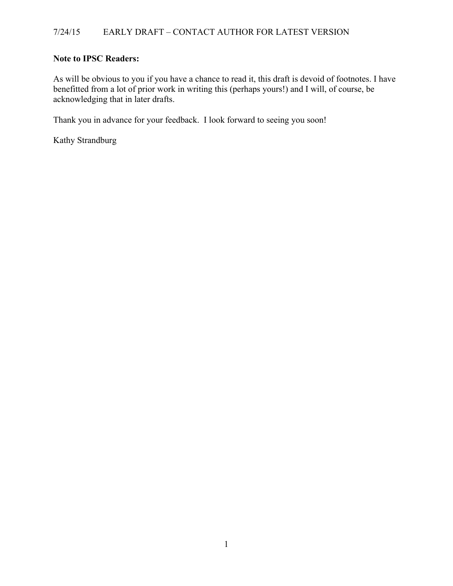# **Note to IPSC Readers:**

As will be obvious to you if you have a chance to read it, this draft is devoid of footnotes. I have benefitted from a lot of prior work in writing this (perhaps yours!) and I will, of course, be acknowledging that in later drafts.

Thank you in advance for your feedback. I look forward to seeing you soon!

Kathy Strandburg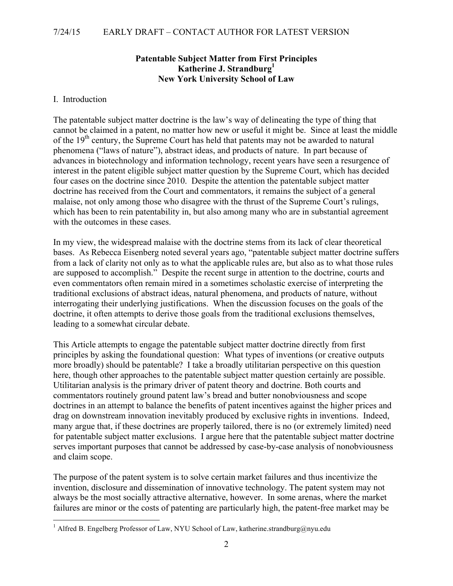# **Patentable Subject Matter from First Principles Katherine J. Strandburg1 New York University School of Law**

### I. Introduction

The patentable subject matter doctrine is the law's way of delineating the type of thing that cannot be claimed in a patent, no matter how new or useful it might be. Since at least the middle of the 19<sup>th</sup> century, the Supreme Court has held that patents may not be awarded to natural phenomena ("laws of nature"), abstract ideas, and products of nature. In part because of advances in biotechnology and information technology, recent years have seen a resurgence of interest in the patent eligible subject matter question by the Supreme Court, which has decided four cases on the doctrine since 2010. Despite the attention the patentable subject matter doctrine has received from the Court and commentators, it remains the subject of a general malaise, not only among those who disagree with the thrust of the Supreme Court's rulings, which has been to rein patentability in, but also among many who are in substantial agreement with the outcomes in these cases.

In my view, the widespread malaise with the doctrine stems from its lack of clear theoretical bases. As Rebecca Eisenberg noted several years ago, "patentable subject matter doctrine suffers from a lack of clarity not only as to what the applicable rules are, but also as to what those rules are supposed to accomplish." Despite the recent surge in attention to the doctrine, courts and even commentators often remain mired in a sometimes scholastic exercise of interpreting the traditional exclusions of abstract ideas, natural phenomena, and products of nature, without interrogating their underlying justifications. When the discussion focuses on the goals of the doctrine, it often attempts to derive those goals from the traditional exclusions themselves, leading to a somewhat circular debate.

This Article attempts to engage the patentable subject matter doctrine directly from first principles by asking the foundational question: What types of inventions (or creative outputs more broadly) should be patentable? I take a broadly utilitarian perspective on this question here, though other approaches to the patentable subject matter question certainly are possible. Utilitarian analysis is the primary driver of patent theory and doctrine. Both courts and commentators routinely ground patent law's bread and butter nonobviousness and scope doctrines in an attempt to balance the benefits of patent incentives against the higher prices and drag on downstream innovation inevitably produced by exclusive rights in inventions. Indeed, many argue that, if these doctrines are properly tailored, there is no (or extremely limited) need for patentable subject matter exclusions. I argue here that the patentable subject matter doctrine serves important purposes that cannot be addressed by case-by-case analysis of nonobviousness and claim scope.

The purpose of the patent system is to solve certain market failures and thus incentivize the invention, disclosure and dissemination of innovative technology. The patent system may not always be the most socially attractive alternative, however. In some arenas, where the market failures are minor or the costs of patenting are particularly high, the patent-free market may be

 $1$  Alfred B. Engelberg Professor of Law, NYU School of Law, katherine.strandburg@nyu.edu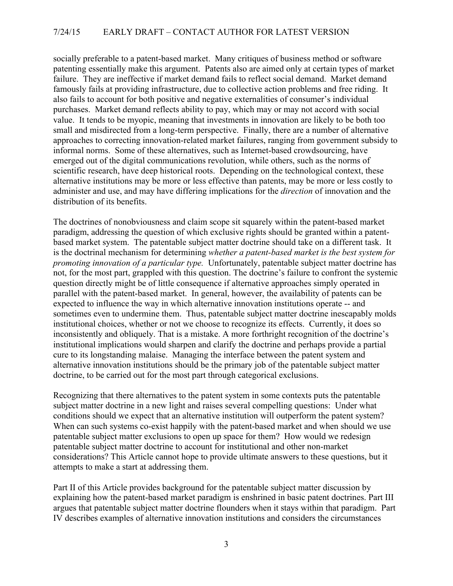socially preferable to a patent-based market. Many critiques of business method or software patenting essentially make this argument. Patents also are aimed only at certain types of market failure. They are ineffective if market demand fails to reflect social demand. Market demand famously fails at providing infrastructure, due to collective action problems and free riding. It also fails to account for both positive and negative externalities of consumer's individual purchases. Market demand reflects ability to pay, which may or may not accord with social value. It tends to be myopic, meaning that investments in innovation are likely to be both too small and misdirected from a long-term perspective. Finally, there are a number of alternative approaches to correcting innovation-related market failures, ranging from government subsidy to informal norms. Some of these alternatives, such as Internet-based crowdsourcing, have emerged out of the digital communications revolution, while others, such as the norms of scientific research, have deep historical roots. Depending on the technological context, these alternative institutions may be more or less effective than patents, may be more or less costly to administer and use, and may have differing implications for the *direction* of innovation and the distribution of its benefits.

The doctrines of nonobviousness and claim scope sit squarely within the patent-based market paradigm, addressing the question of which exclusive rights should be granted within a patentbased market system. The patentable subject matter doctrine should take on a different task. It is the doctrinal mechanism for determining *whether a patent-based market is the best system for promoting innovation of a particular type.* Unfortunately, patentable subject matter doctrine has not, for the most part, grappled with this question. The doctrine's failure to confront the systemic question directly might be of little consequence if alternative approaches simply operated in parallel with the patent-based market. In general, however, the availability of patents can be expected to influence the way in which alternative innovation institutions operate -- and sometimes even to undermine them. Thus, patentable subject matter doctrine inescapably molds institutional choices, whether or not we choose to recognize its effects. Currently, it does so inconsistently and obliquely. That is a mistake. A more forthright recognition of the doctrine's institutional implications would sharpen and clarify the doctrine and perhaps provide a partial cure to its longstanding malaise. Managing the interface between the patent system and alternative innovation institutions should be the primary job of the patentable subject matter doctrine, to be carried out for the most part through categorical exclusions.

Recognizing that there alternatives to the patent system in some contexts puts the patentable subject matter doctrine in a new light and raises several compelling questions: Under what conditions should we expect that an alternative institution will outperform the patent system? When can such systems co-exist happily with the patent-based market and when should we use patentable subject matter exclusions to open up space for them? How would we redesign patentable subject matter doctrine to account for institutional and other non-market considerations? This Article cannot hope to provide ultimate answers to these questions, but it attempts to make a start at addressing them.

Part II of this Article provides background for the patentable subject matter discussion by explaining how the patent-based market paradigm is enshrined in basic patent doctrines. Part III argues that patentable subject matter doctrine flounders when it stays within that paradigm. Part IV describes examples of alternative innovation institutions and considers the circumstances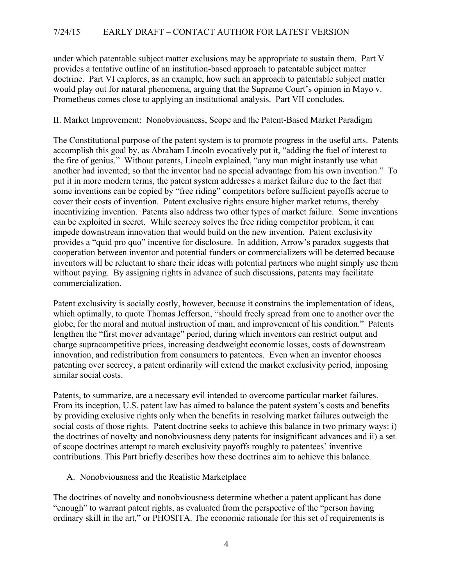under which patentable subject matter exclusions may be appropriate to sustain them. Part V provides a tentative outline of an institution-based approach to patentable subject matter doctrine. Part VI explores, as an example, how such an approach to patentable subject matter would play out for natural phenomena, arguing that the Supreme Court's opinion in Mayo v. Prometheus comes close to applying an institutional analysis. Part VII concludes.

# II. Market Improvement: Nonobviousness, Scope and the Patent-Based Market Paradigm

The Constitutional purpose of the patent system is to promote progress in the useful arts. Patents accomplish this goal by, as Abraham Lincoln evocatively put it, "adding the fuel of interest to the fire of genius." Without patents, Lincoln explained, "any man might instantly use what another had invented; so that the inventor had no special advantage from his own invention." To put it in more modern terms, the patent system addresses a market failure due to the fact that some inventions can be copied by "free riding" competitors before sufficient payoffs accrue to cover their costs of invention. Patent exclusive rights ensure higher market returns, thereby incentivizing invention. Patents also address two other types of market failure. Some inventions can be exploited in secret. While secrecy solves the free riding competitor problem, it can impede downstream innovation that would build on the new invention. Patent exclusivity provides a "quid pro quo" incentive for disclosure. In addition, Arrow's paradox suggests that cooperation between inventor and potential funders or commercializers will be deterred because inventors will be reluctant to share their ideas with potential partners who might simply use them without paying. By assigning rights in advance of such discussions, patents may facilitate commercialization.

Patent exclusivity is socially costly, however, because it constrains the implementation of ideas, which optimally, to quote Thomas Jefferson, "should freely spread from one to another over the globe, for the moral and mutual instruction of man, and improvement of his condition." Patents lengthen the "first mover advantage" period, during which inventors can restrict output and charge supracompetitive prices, increasing deadweight economic losses, costs of downstream innovation, and redistribution from consumers to patentees. Even when an inventor chooses patenting over secrecy, a patent ordinarily will extend the market exclusivity period, imposing similar social costs.

Patents, to summarize, are a necessary evil intended to overcome particular market failures. From its inception, U.S. patent law has aimed to balance the patent system's costs and benefits by providing exclusive rights only when the benefits in resolving market failures outweigh the social costs of those rights. Patent doctrine seeks to achieve this balance in two primary ways: i) the doctrines of novelty and nonobviousness deny patents for insignificant advances and ii) a set of scope doctrines attempt to match exclusivity payoffs roughly to patentees' inventive contributions. This Part briefly describes how these doctrines aim to achieve this balance.

#### A. Nonobviousness and the Realistic Marketplace

The doctrines of novelty and nonobviousness determine whether a patent applicant has done "enough" to warrant patent rights, as evaluated from the perspective of the "person having ordinary skill in the art," or PHOSITA. The economic rationale for this set of requirements is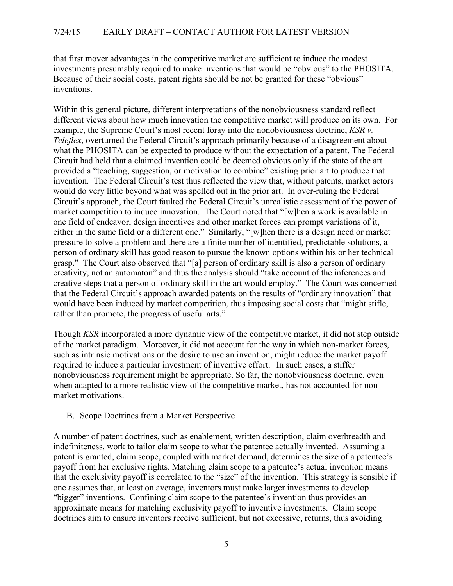that first mover advantages in the competitive market are sufficient to induce the modest investments presumably required to make inventions that would be "obvious" to the PHOSITA. Because of their social costs, patent rights should be not be granted for these "obvious" inventions.

Within this general picture, different interpretations of the nonobviousness standard reflect different views about how much innovation the competitive market will produce on its own. For example, the Supreme Court's most recent foray into the nonobviousness doctrine, *KSR v. Teleflex*, overturned the Federal Circuit's approach primarily because of a disagreement about what the PHOSITA can be expected to produce without the expectation of a patent. The Federal Circuit had held that a claimed invention could be deemed obvious only if the state of the art provided a "teaching, suggestion, or motivation to combine" existing prior art to produce that invention. The Federal Circuit's test thus reflected the view that, without patents, market actors would do very little beyond what was spelled out in the prior art. In over-ruling the Federal Circuit's approach, the Court faulted the Federal Circuit's unrealistic assessment of the power of market competition to induce innovation. The Court noted that "[w]hen a work is available in one field of endeavor, design incentives and other market forces can prompt variations of it, either in the same field or a different one." Similarly, "[w]hen there is a design need or market pressure to solve a problem and there are a finite number of identified, predictable solutions, a person of ordinary skill has good reason to pursue the known options within his or her technical grasp." The Court also observed that "[a] person of ordinary skill is also a person of ordinary creativity, not an automaton" and thus the analysis should "take account of the inferences and creative steps that a person of ordinary skill in the art would employ." The Court was concerned that the Federal Circuit's approach awarded patents on the results of "ordinary innovation" that would have been induced by market competition, thus imposing social costs that "might stifle, rather than promote, the progress of useful arts."

Though *KSR* incorporated a more dynamic view of the competitive market, it did not step outside of the market paradigm. Moreover, it did not account for the way in which non-market forces, such as intrinsic motivations or the desire to use an invention, might reduce the market payoff required to induce a particular investment of inventive effort. In such cases, a stiffer nonobviousness requirement might be appropriate. So far, the nonobviousness doctrine, even when adapted to a more realistic view of the competitive market, has not accounted for nonmarket motivations.

#### B. Scope Doctrines from a Market Perspective

A number of patent doctrines, such as enablement, written description, claim overbreadth and indefiniteness, work to tailor claim scope to what the patentee actually invented. Assuming a patent is granted, claim scope, coupled with market demand, determines the size of a patentee's payoff from her exclusive rights. Matching claim scope to a patentee's actual invention means that the exclusivity payoff is correlated to the "size" of the invention. This strategy is sensible if one assumes that, at least on average, inventors must make larger investments to develop "bigger" inventions. Confining claim scope to the patentee's invention thus provides an approximate means for matching exclusivity payoff to inventive investments. Claim scope doctrines aim to ensure inventors receive sufficient, but not excessive, returns, thus avoiding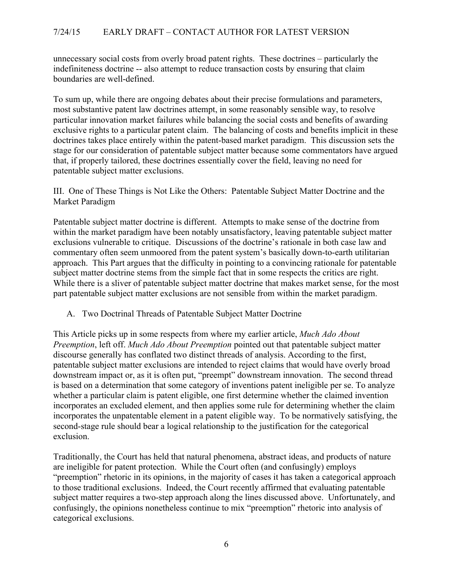unnecessary social costs from overly broad patent rights. These doctrines – particularly the indefiniteness doctrine -- also attempt to reduce transaction costs by ensuring that claim boundaries are well-defined.

To sum up, while there are ongoing debates about their precise formulations and parameters, most substantive patent law doctrines attempt, in some reasonably sensible way, to resolve particular innovation market failures while balancing the social costs and benefits of awarding exclusive rights to a particular patent claim. The balancing of costs and benefits implicit in these doctrines takes place entirely within the patent-based market paradigm. This discussion sets the stage for our consideration of patentable subject matter because some commentators have argued that, if properly tailored, these doctrines essentially cover the field, leaving no need for patentable subject matter exclusions.

III. One of These Things is Not Like the Others: Patentable Subject Matter Doctrine and the Market Paradigm

Patentable subject matter doctrine is different. Attempts to make sense of the doctrine from within the market paradigm have been notably unsatisfactory, leaving patentable subject matter exclusions vulnerable to critique. Discussions of the doctrine's rationale in both case law and commentary often seem unmoored from the patent system's basically down-to-earth utilitarian approach. This Part argues that the difficulty in pointing to a convincing rationale for patentable subject matter doctrine stems from the simple fact that in some respects the critics are right. While there is a sliver of patentable subject matter doctrine that makes market sense, for the most part patentable subject matter exclusions are not sensible from within the market paradigm.

A. Two Doctrinal Threads of Patentable Subject Matter Doctrine

This Article picks up in some respects from where my earlier article, *Much Ado About Preemption*, left off. *Much Ado About Preemption* pointed out that patentable subject matter discourse generally has conflated two distinct threads of analysis. According to the first, patentable subject matter exclusions are intended to reject claims that would have overly broad downstream impact or, as it is often put, "preempt" downstream innovation. The second thread is based on a determination that some category of inventions patent ineligible per se. To analyze whether a particular claim is patent eligible, one first determine whether the claimed invention incorporates an excluded element, and then applies some rule for determining whether the claim incorporates the unpatentable element in a patent eligible way. To be normatively satisfying, the second-stage rule should bear a logical relationship to the justification for the categorical exclusion.

Traditionally, the Court has held that natural phenomena, abstract ideas, and products of nature are ineligible for patent protection. While the Court often (and confusingly) employs "preemption" rhetoric in its opinions, in the majority of cases it has taken a categorical approach to those traditional exclusions. Indeed, the Court recently affirmed that evaluating patentable subject matter requires a two-step approach along the lines discussed above. Unfortunately, and confusingly, the opinions nonetheless continue to mix "preemption" rhetoric into analysis of categorical exclusions.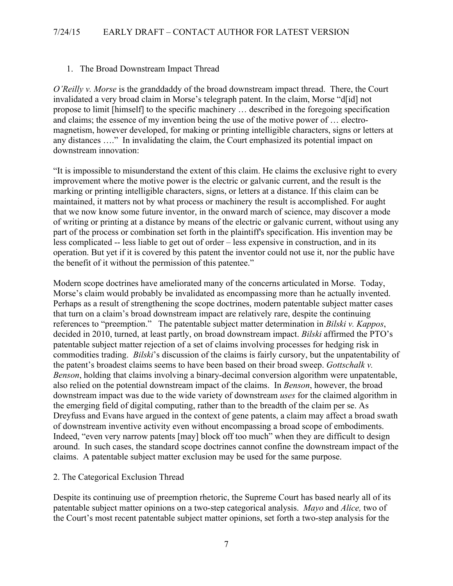# 1. The Broad Downstream Impact Thread

*O'Reilly v. Morse* is the granddaddy of the broad downstream impact thread. There, the Court invalidated a very broad claim in Morse's telegraph patent. In the claim, Morse "d[id] not propose to limit [himself] to the specific machinery … described in the foregoing specification and claims; the essence of my invention being the use of the motive power of … electromagnetism, however developed, for making or printing intelligible characters, signs or letters at any distances …." In invalidating the claim, the Court emphasized its potential impact on downstream innovation:

"It is impossible to misunderstand the extent of this claim. He claims the exclusive right to every improvement where the motive power is the electric or galvanic current, and the result is the marking or printing intelligible characters, signs, or letters at a distance. If this claim can be maintained, it matters not by what process or machinery the result is accomplished. For aught that we now know some future inventor, in the onward march of science, may discover a mode of writing or printing at a distance by means of the electric or galvanic current, without using any part of the process or combination set forth in the plaintiff's specification. His invention may be less complicated -- less liable to get out of order – less expensive in construction, and in its operation. But yet if it is covered by this patent the inventor could not use it, nor the public have the benefit of it without the permission of this patentee."

Modern scope doctrines have ameliorated many of the concerns articulated in Morse. Today, Morse's claim would probably be invalidated as encompassing more than he actually invented. Perhaps as a result of strengthening the scope doctrines, modern patentable subject matter cases that turn on a claim's broad downstream impact are relatively rare, despite the continuing references to "preemption." The patentable subject matter determination in *Bilski v. Kappos*, decided in 2010, turned, at least partly, on broad downstream impact. *Bilski* affirmed the PTO's patentable subject matter rejection of a set of claims involving processes for hedging risk in commodities trading. *Bilski*'s discussion of the claims is fairly cursory, but the unpatentability of the patent's broadest claims seems to have been based on their broad sweep. *Gottschalk v. Benson*, holding that claims involving a binary-decimal conversion algorithm were unpatentable, also relied on the potential downstream impact of the claims. In *Benson*, however, the broad downstream impact was due to the wide variety of downstream *uses* for the claimed algorithm in the emerging field of digital computing, rather than to the breadth of the claim per se. As Dreyfuss and Evans have argued in the context of gene patents, a claim may affect a broad swath of downstream inventive activity even without encompassing a broad scope of embodiments. Indeed, "even very narrow patents [may] block off too much" when they are difficult to design around. In such cases, the standard scope doctrines cannot confine the downstream impact of the claims. A patentable subject matter exclusion may be used for the same purpose.

#### 2. The Categorical Exclusion Thread

Despite its continuing use of preemption rhetoric, the Supreme Court has based nearly all of its patentable subject matter opinions on a two-step categorical analysis. *Mayo* and *Alice,* two of the Court's most recent patentable subject matter opinions, set forth a two-step analysis for the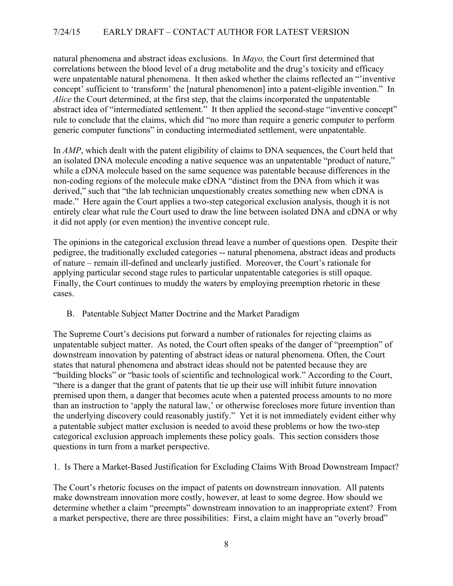natural phenomena and abstract ideas exclusions. In *Mayo,* the Court first determined that correlations between the blood level of a drug metabolite and the drug's toxicity and efficacy were unpatentable natural phenomena. It then asked whether the claims reflected an "'inventive concept' sufficient to 'transform' the [natural phenomenon] into a patent-eligible invention." In *Alice* the Court determined, at the first step, that the claims incorporated the unpatentable abstract idea of "intermediated settlement." It then applied the second-stage "inventive concept" rule to conclude that the claims, which did "no more than require a generic computer to perform generic computer functions" in conducting intermediated settlement, were unpatentable.

In *AMP*, which dealt with the patent eligibility of claims to DNA sequences, the Court held that an isolated DNA molecule encoding a native sequence was an unpatentable "product of nature," while a cDNA molecule based on the same sequence was patentable because differences in the non-coding regions of the molecule make cDNA "distinct from the DNA from which it was derived," such that "the lab technician unquestionably creates something new when cDNA is made." Here again the Court applies a two-step categorical exclusion analysis, though it is not entirely clear what rule the Court used to draw the line between isolated DNA and cDNA or why it did not apply (or even mention) the inventive concept rule.

The opinions in the categorical exclusion thread leave a number of questions open. Despite their pedigree, the traditionally excluded categories -- natural phenomena, abstract ideas and products of nature – remain ill-defined and unclearly justified. Moreover, the Court's rationale for applying particular second stage rules to particular unpatentable categories is still opaque. Finally, the Court continues to muddy the waters by employing preemption rhetoric in these cases.

B. Patentable Subject Matter Doctrine and the Market Paradigm

The Supreme Court's decisions put forward a number of rationales for rejecting claims as unpatentable subject matter. As noted, the Court often speaks of the danger of "preemption" of downstream innovation by patenting of abstract ideas or natural phenomena. Often, the Court states that natural phenomena and abstract ideas should not be patented because they are "building blocks" or "basic tools of scientific and technological work." According to the Court, "there is a danger that the grant of patents that tie up their use will inhibit future innovation premised upon them, a danger that becomes acute when a patented process amounts to no more than an instruction to 'apply the natural law,' or otherwise forecloses more future invention than the underlying discovery could reasonably justify." Yet it is not immediately evident either why a patentable subject matter exclusion is needed to avoid these problems or how the two-step categorical exclusion approach implements these policy goals. This section considers those questions in turn from a market perspective.

1. Is There a Market-Based Justification for Excluding Claims With Broad Downstream Impact?

The Court's rhetoric focuses on the impact of patents on downstream innovation. All patents make downstream innovation more costly, however, at least to some degree. How should we determine whether a claim "preempts" downstream innovation to an inappropriate extent? From a market perspective, there are three possibilities: First, a claim might have an "overly broad"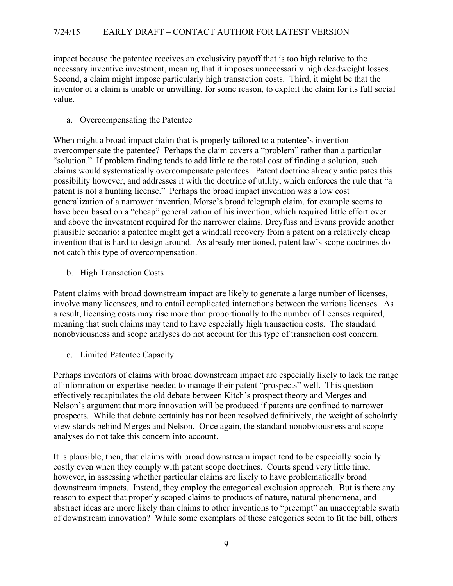impact because the patentee receives an exclusivity payoff that is too high relative to the necessary inventive investment, meaning that it imposes unnecessarily high deadweight losses. Second, a claim might impose particularly high transaction costs. Third, it might be that the inventor of a claim is unable or unwilling, for some reason, to exploit the claim for its full social value.

a. Overcompensating the Patentee

When might a broad impact claim that is properly tailored to a patentee's invention overcompensate the patentee? Perhaps the claim covers a "problem" rather than a particular "solution." If problem finding tends to add little to the total cost of finding a solution, such claims would systematically overcompensate patentees. Patent doctrine already anticipates this possibility however, and addresses it with the doctrine of utility, which enforces the rule that "a patent is not a hunting license." Perhaps the broad impact invention was a low cost generalization of a narrower invention. Morse's broad telegraph claim, for example seems to have been based on a "cheap" generalization of his invention, which required little effort over and above the investment required for the narrower claims. Dreyfuss and Evans provide another plausible scenario: a patentee might get a windfall recovery from a patent on a relatively cheap invention that is hard to design around. As already mentioned, patent law's scope doctrines do not catch this type of overcompensation.

b. High Transaction Costs

Patent claims with broad downstream impact are likely to generate a large number of licenses, involve many licensees, and to entail complicated interactions between the various licenses. As a result, licensing costs may rise more than proportionally to the number of licenses required, meaning that such claims may tend to have especially high transaction costs. The standard nonobviousness and scope analyses do not account for this type of transaction cost concern.

c. Limited Patentee Capacity

Perhaps inventors of claims with broad downstream impact are especially likely to lack the range of information or expertise needed to manage their patent "prospects" well. This question effectively recapitulates the old debate between Kitch's prospect theory and Merges and Nelson's argument that more innovation will be produced if patents are confined to narrower prospects. While that debate certainly has not been resolved definitively, the weight of scholarly view stands behind Merges and Nelson. Once again, the standard nonobviousness and scope analyses do not take this concern into account.

It is plausible, then, that claims with broad downstream impact tend to be especially socially costly even when they comply with patent scope doctrines. Courts spend very little time, however, in assessing whether particular claims are likely to have problematically broad downstream impacts. Instead, they employ the categorical exclusion approach. But is there any reason to expect that properly scoped claims to products of nature, natural phenomena, and abstract ideas are more likely than claims to other inventions to "preempt" an unacceptable swath of downstream innovation? While some exemplars of these categories seem to fit the bill, others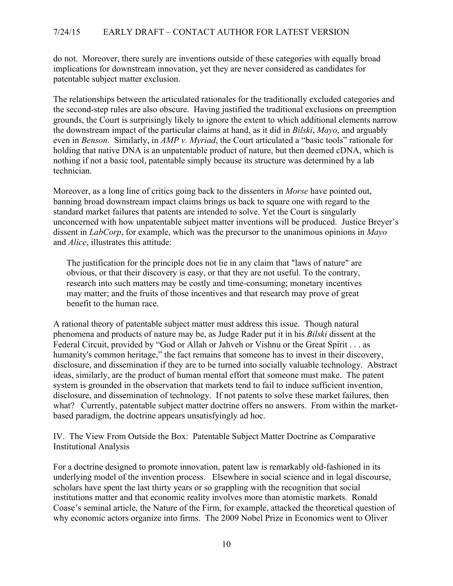do not. Moreover, there surely are inventions outside of these categories with equally broad implications for downstream innovation, yet they are never considered as candidates for patentable subject matter exclusion.

The relationships between the articulated rationales for the traditionally excluded categories and the second-step rules are also obscure. Having justified the traditional exclusions on preemption grounds, the Court is surprisingly likely to ignore the extent to which additional elements narrow the downstream impact of the particular claims at hand, as it did in *Bilski*, *Mayo*, and arguably even in *Benson*. Similarly, in *AMP v. Myriad*, the Court articulated a "basic tools" rationale for holding that native DNA is an unpatentable product of nature, but then deemed cDNA, which is nothing if not a basic tool, patentable simply because its structure was determined by a lab technician.

Moreover, as a long line of critics going back to the dissenters in *Morse* have pointed out, banning broad downstream impact claims brings us back to square one with regard to the standard market failures that patents are intended to solve. Yet the Court is singularly unconcerned with how unpatentable subject matter inventions will be produced. Justice Breyer's dissent in *LabCorp*, for example, which was the precursor to the unanimous opinions in *Mayo* and *Alice*, illustrates this attitude:

The justification for the principle does not lie in any claim that "laws of nature" are obvious, or that their discovery is easy, or that they are not useful. To the contrary, research into such matters may be costly and time-consuming; monetary incentives may matter; and the fruits of those incentives and that research may prove of great benefit to the human race.

A rational theory of patentable subject matter must address this issue. Though natural phenomena and products of nature may be, as Judge Rader put it in his *Bilski* dissent at the Federal Circuit, provided by "God or Allah or Jahveh or Vishnu or the Great Spirit . . . as humanity's common heritage," the fact remains that someone has to invest in their discovery, disclosure, and dissemination if they are to be turned into socially valuable technology. Abstract ideas, similarly, are the product of human mental effort that someone must make. The patent system is grounded in the observation that markets tend to fail to induce sufficient invention, disclosure, and dissemination of technology. If not patents to solve these market failures, then what? Currently, patentable subject matter doctrine offers no answers. From within the marketbased paradigm, the doctrine appears unsatisfyingly ad hoc.

IV. The View From Outside the Box: Patentable Subject Matter Doctrine as Comparative Institutional Analysis

For a doctrine designed to promote innovation, patent law is remarkably old-fashioned in its underlying model of the invention process. Elsewhere in social science and in legal discourse, scholars have spent the last thirty years or so grappling with the recognition that social institutions matter and that economic reality involves more than atomistic markets. Ronald Coase's seminal article, the Nature of the Firm, for example, attacked the theoretical question of why economic actors organize into firms. The 2009 Nobel Prize in Economics went to Oliver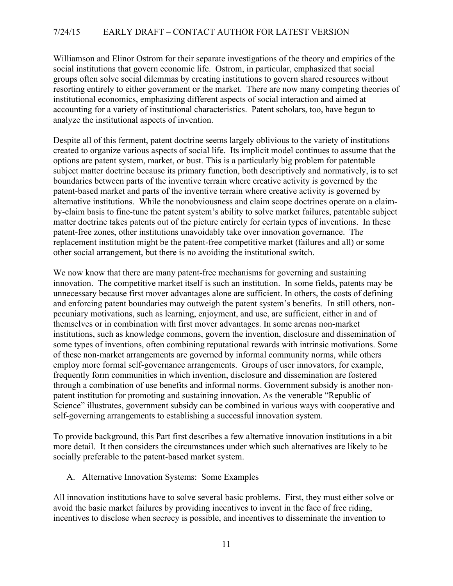Williamson and Elinor Ostrom for their separate investigations of the theory and empirics of the social institutions that govern economic life. Ostrom, in particular, emphasized that social groups often solve social dilemmas by creating institutions to govern shared resources without resorting entirely to either government or the market. There are now many competing theories of institutional economics, emphasizing different aspects of social interaction and aimed at accounting for a variety of institutional characteristics. Patent scholars, too, have begun to analyze the institutional aspects of invention.

Despite all of this ferment, patent doctrine seems largely oblivious to the variety of institutions created to organize various aspects of social life. Its implicit model continues to assume that the options are patent system, market, or bust. This is a particularly big problem for patentable subject matter doctrine because its primary function, both descriptively and normatively, is to set boundaries between parts of the inventive terrain where creative activity is governed by the patent-based market and parts of the inventive terrain where creative activity is governed by alternative institutions. While the nonobviousness and claim scope doctrines operate on a claimby-claim basis to fine-tune the patent system's ability to solve market failures, patentable subject matter doctrine takes patents out of the picture entirely for certain types of inventions. In these patent-free zones, other institutions unavoidably take over innovation governance. The replacement institution might be the patent-free competitive market (failures and all) or some other social arrangement, but there is no avoiding the institutional switch.

We now know that there are many patent-free mechanisms for governing and sustaining innovation. The competitive market itself is such an institution. In some fields, patents may be unnecessary because first mover advantages alone are sufficient. In others, the costs of defining and enforcing patent boundaries may outweigh the patent system's benefits. In still others, nonpecuniary motivations, such as learning, enjoyment, and use, are sufficient, either in and of themselves or in combination with first mover advantages. In some arenas non-market institutions, such as knowledge commons, govern the invention, disclosure and dissemination of some types of inventions, often combining reputational rewards with intrinsic motivations. Some of these non-market arrangements are governed by informal community norms, while others employ more formal self-governance arrangements. Groups of user innovators, for example, frequently form communities in which invention, disclosure and dissemination are fostered through a combination of use benefits and informal norms. Government subsidy is another nonpatent institution for promoting and sustaining innovation. As the venerable "Republic of Science" illustrates, government subsidy can be combined in various ways with cooperative and self-governing arrangements to establishing a successful innovation system.

To provide background, this Part first describes a few alternative innovation institutions in a bit more detail. It then considers the circumstances under which such alternatives are likely to be socially preferable to the patent-based market system.

# A. Alternative Innovation Systems: Some Examples

All innovation institutions have to solve several basic problems. First, they must either solve or avoid the basic market failures by providing incentives to invent in the face of free riding, incentives to disclose when secrecy is possible, and incentives to disseminate the invention to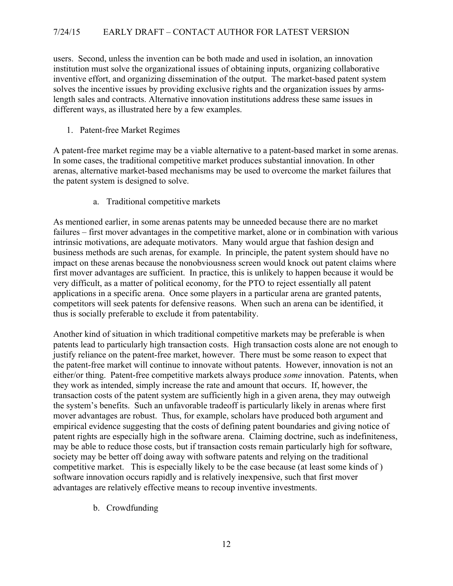users. Second, unless the invention can be both made and used in isolation, an innovation institution must solve the organizational issues of obtaining inputs, organizing collaborative inventive effort, and organizing dissemination of the output. The market-based patent system solves the incentive issues by providing exclusive rights and the organization issues by armslength sales and contracts. Alternative innovation institutions address these same issues in different ways, as illustrated here by a few examples.

1. Patent-free Market Regimes

A patent-free market regime may be a viable alternative to a patent-based market in some arenas. In some cases, the traditional competitive market produces substantial innovation. In other arenas, alternative market-based mechanisms may be used to overcome the market failures that the patent system is designed to solve.

a. Traditional competitive markets

As mentioned earlier, in some arenas patents may be unneeded because there are no market failures – first mover advantages in the competitive market, alone or in combination with various intrinsic motivations, are adequate motivators. Many would argue that fashion design and business methods are such arenas, for example. In principle, the patent system should have no impact on these arenas because the nonobviousness screen would knock out patent claims where first mover advantages are sufficient. In practice, this is unlikely to happen because it would be very difficult, as a matter of political economy, for the PTO to reject essentially all patent applications in a specific arena. Once some players in a particular arena are granted patents, competitors will seek patents for defensive reasons. When such an arena can be identified, it thus is socially preferable to exclude it from patentability.

Another kind of situation in which traditional competitive markets may be preferable is when patents lead to particularly high transaction costs. High transaction costs alone are not enough to justify reliance on the patent-free market, however. There must be some reason to expect that the patent-free market will continue to innovate without patents. However, innovation is not an either/or thing. Patent-free competitive markets always produce *some* innovation. Patents, when they work as intended, simply increase the rate and amount that occurs. If, however, the transaction costs of the patent system are sufficiently high in a given arena, they may outweigh the system's benefits. Such an unfavorable tradeoff is particularly likely in arenas where first mover advantages are robust. Thus, for example, scholars have produced both argument and empirical evidence suggesting that the costs of defining patent boundaries and giving notice of patent rights are especially high in the software arena. Claiming doctrine, such as indefiniteness, may be able to reduce those costs, but if transaction costs remain particularly high for software, society may be better off doing away with software patents and relying on the traditional competitive market. This is especially likely to be the case because (at least some kinds of ) software innovation occurs rapidly and is relatively inexpensive, such that first mover advantages are relatively effective means to recoup inventive investments.

b. Crowdfunding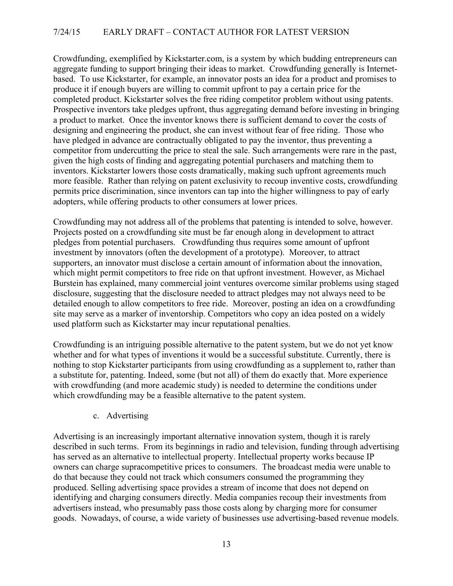Crowdfunding, exemplified by Kickstarter.com, is a system by which budding entrepreneurs can aggregate funding to support bringing their ideas to market. Crowdfunding generally is Internetbased. To use Kickstarter, for example, an innovator posts an idea for a product and promises to produce it if enough buyers are willing to commit upfront to pay a certain price for the completed product. Kickstarter solves the free riding competitor problem without using patents. Prospective inventors take pledges upfront, thus aggregating demand before investing in bringing a product to market. Once the inventor knows there is sufficient demand to cover the costs of designing and engineering the product, she can invest without fear of free riding. Those who have pledged in advance are contractually obligated to pay the inventor, thus preventing a competitor from undercutting the price to steal the sale. Such arrangements were rare in the past, given the high costs of finding and aggregating potential purchasers and matching them to inventors. Kickstarter lowers those costs dramatically, making such upfront agreements much more feasible. Rather than relying on patent exclusivity to recoup inventive costs, crowdfunding permits price discrimination, since inventors can tap into the higher willingness to pay of early adopters, while offering products to other consumers at lower prices.

Crowdfunding may not address all of the problems that patenting is intended to solve, however. Projects posted on a crowdfunding site must be far enough along in development to attract pledges from potential purchasers. Crowdfunding thus requires some amount of upfront investment by innovators (often the development of a prototype). Moreover, to attract supporters, an innovator must disclose a certain amount of information about the innovation, which might permit competitors to free ride on that upfront investment. However, as Michael Burstein has explained, many commercial joint ventures overcome similar problems using staged disclosure, suggesting that the disclosure needed to attract pledges may not always need to be detailed enough to allow competitors to free ride. Moreover, posting an idea on a crowdfunding site may serve as a marker of inventorship. Competitors who copy an idea posted on a widely used platform such as Kickstarter may incur reputational penalties.

Crowdfunding is an intriguing possible alternative to the patent system, but we do not yet know whether and for what types of inventions it would be a successful substitute. Currently, there is nothing to stop Kickstarter participants from using crowdfunding as a supplement to, rather than a substitute for, patenting. Indeed, some (but not all) of them do exactly that. More experience with crowdfunding (and more academic study) is needed to determine the conditions under which crowdfunding may be a feasible alternative to the patent system.

# c. Advertising

Advertising is an increasingly important alternative innovation system, though it is rarely described in such terms. From its beginnings in radio and television, funding through advertising has served as an alternative to intellectual property. Intellectual property works because IP owners can charge supracompetitive prices to consumers. The broadcast media were unable to do that because they could not track which consumers consumed the programming they produced. Selling advertising space provides a stream of income that does not depend on identifying and charging consumers directly. Media companies recoup their investments from advertisers instead, who presumably pass those costs along by charging more for consumer goods. Nowadays, of course, a wide variety of businesses use advertising-based revenue models.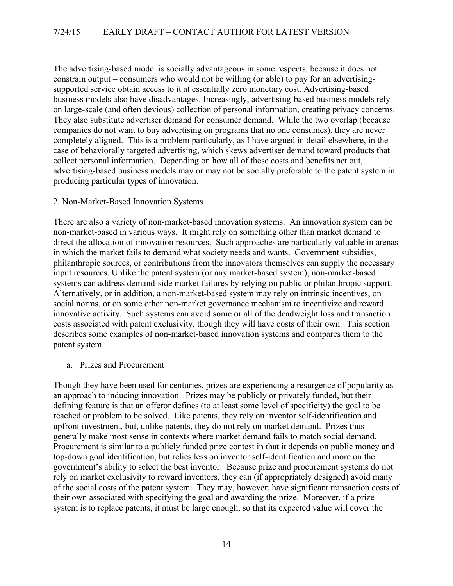The advertising-based model is socially advantageous in some respects, because it does not constrain output – consumers who would not be willing (or able) to pay for an advertisingsupported service obtain access to it at essentially zero monetary cost. Advertising-based business models also have disadvantages. Increasingly, advertising-based business models rely on large-scale (and often devious) collection of personal information, creating privacy concerns. They also substitute advertiser demand for consumer demand. While the two overlap (because companies do not want to buy advertising on programs that no one consumes), they are never completely aligned. This is a problem particularly, as I have argued in detail elsewhere, in the case of behaviorally targeted advertising, which skews advertiser demand toward products that collect personal information. Depending on how all of these costs and benefits net out, advertising-based business models may or may not be socially preferable to the patent system in producing particular types of innovation.

#### 2. Non-Market-Based Innovation Systems

There are also a variety of non-market-based innovation systems. An innovation system can be non-market-based in various ways. It might rely on something other than market demand to direct the allocation of innovation resources. Such approaches are particularly valuable in arenas in which the market fails to demand what society needs and wants. Government subsidies, philanthropic sources, or contributions from the innovators themselves can supply the necessary input resources. Unlike the patent system (or any market-based system), non-market-based systems can address demand-side market failures by relying on public or philanthropic support. Alternatively, or in addition, a non-market-based system may rely on intrinsic incentives, on social norms, or on some other non-market governance mechanism to incentivize and reward innovative activity. Such systems can avoid some or all of the deadweight loss and transaction costs associated with patent exclusivity, though they will have costs of their own. This section describes some examples of non-market-based innovation systems and compares them to the patent system.

#### a. Prizes and Procurement

Though they have been used for centuries, prizes are experiencing a resurgence of popularity as an approach to inducing innovation. Prizes may be publicly or privately funded, but their defining feature is that an offeror defines (to at least some level of specificity) the goal to be reached or problem to be solved. Like patents, they rely on inventor self-identification and upfront investment, but, unlike patents, they do not rely on market demand. Prizes thus generally make most sense in contexts where market demand fails to match social demand. Procurement is similar to a publicly funded prize contest in that it depends on public money and top-down goal identification, but relies less on inventor self-identification and more on the government's ability to select the best inventor. Because prize and procurement systems do not rely on market exclusivity to reward inventors, they can (if appropriately designed) avoid many of the social costs of the patent system. They may, however, have significant transaction costs of their own associated with specifying the goal and awarding the prize. Moreover, if a prize system is to replace patents, it must be large enough, so that its expected value will cover the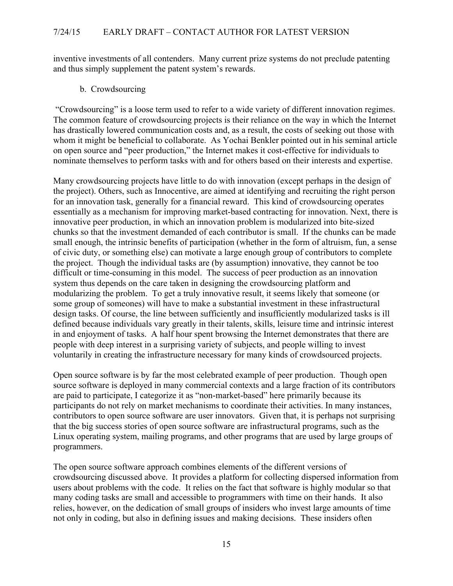inventive investments of all contenders. Many current prize systems do not preclude patenting and thus simply supplement the patent system's rewards.

#### b. Crowdsourcing

"Crowdsourcing" is a loose term used to refer to a wide variety of different innovation regimes. The common feature of crowdsourcing projects is their reliance on the way in which the Internet has drastically lowered communication costs and, as a result, the costs of seeking out those with whom it might be beneficial to collaborate. As Yochai Benkler pointed out in his seminal article on open source and "peer production," the Internet makes it cost-effective for individuals to nominate themselves to perform tasks with and for others based on their interests and expertise.

Many crowdsourcing projects have little to do with innovation (except perhaps in the design of the project). Others, such as Innocentive, are aimed at identifying and recruiting the right person for an innovation task, generally for a financial reward. This kind of crowdsourcing operates essentially as a mechanism for improving market-based contracting for innovation. Next, there is innovative peer production, in which an innovation problem is modularized into bite-sized chunks so that the investment demanded of each contributor is small. If the chunks can be made small enough, the intrinsic benefits of participation (whether in the form of altruism, fun, a sense of civic duty, or something else) can motivate a large enough group of contributors to complete the project. Though the individual tasks are (by assumption) innovative, they cannot be too difficult or time-consuming in this model. The success of peer production as an innovation system thus depends on the care taken in designing the crowdsourcing platform and modularizing the problem. To get a truly innovative result, it seems likely that someone (or some group of someones) will have to make a substantial investment in these infrastructural design tasks. Of course, the line between sufficiently and insufficiently modularized tasks is ill defined because individuals vary greatly in their talents, skills, leisure time and intrinsic interest in and enjoyment of tasks. A half hour spent browsing the Internet demonstrates that there are people with deep interest in a surprising variety of subjects, and people willing to invest voluntarily in creating the infrastructure necessary for many kinds of crowdsourced projects.

Open source software is by far the most celebrated example of peer production. Though open source software is deployed in many commercial contexts and a large fraction of its contributors are paid to participate, I categorize it as "non-market-based" here primarily because its participants do not rely on market mechanisms to coordinate their activities. In many instances, contributors to open source software are user innovators. Given that, it is perhaps not surprising that the big success stories of open source software are infrastructural programs, such as the Linux operating system, mailing programs, and other programs that are used by large groups of programmers.

The open source software approach combines elements of the different versions of crowdsourcing discussed above. It provides a platform for collecting dispersed information from users about problems with the code. It relies on the fact that software is highly modular so that many coding tasks are small and accessible to programmers with time on their hands. It also relies, however, on the dedication of small groups of insiders who invest large amounts of time not only in coding, but also in defining issues and making decisions. These insiders often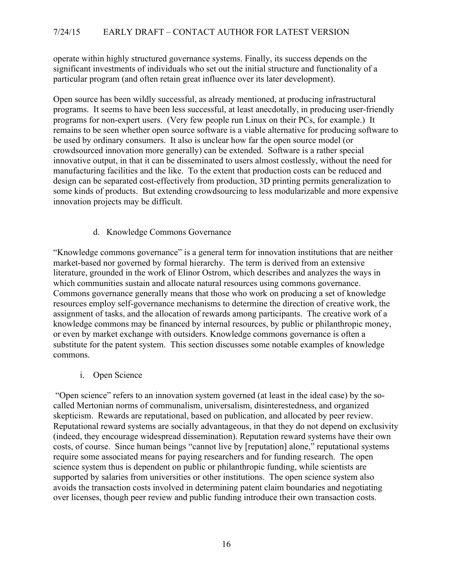operate within highly structured governance systems. Finally, its success depends on the significant investments of individuals who set out the initial structure and functionality of a particular program (and often retain great influence over its later development).

Open source has been wildly successful, as already mentioned, at producing infrastructural programs. It seems to have been less successful, at least anecdotally, in producing user-friendly programs for non-expert users. (Very few people run Linux on their PCs, for example.) It remains to be seen whether open source software is a viable alternative for producing software to be used by ordinary consumers. It also is unclear how far the open source model (or crowdsourced innovation more generally) can be extended. Software is a rather special innovative output, in that it can be disseminated to users almost costlessly, without the need for manufacturing facilities and the like. To the extent that production costs can be reduced and design can be separated cost-effectively from production, 3D printing permits generalization to some kinds of products. But extending crowdsourcing to less modularizable and more expensive innovation projects may be difficult.

# d. Knowledge Commons Governance

"Knowledge commons governance" is a general term for innovation institutions that are neither market-based nor governed by formal hierarchy. The term is derived from an extensive literature, grounded in the work of Elinor Ostrom, which describes and analyzes the ways in which communities sustain and allocate natural resources using commons governance. Commons governance generally means that those who work on producing a set of knowledge resources employ self-governance mechanisms to determine the direction of creative work, the assignment of tasks, and the allocation of rewards among participants. The creative work of a knowledge commons may be financed by internal resources, by public or philanthropic money, or even by market exchange with outsiders. Knowledge commons governance is often a substitute for the patent system. This section discusses some notable examples of knowledge commons.

i. Open Science

"Open science" refers to an innovation system governed (at least in the ideal case) by the socalled Mertonian norms of communalism, universalism, disinterestedness, and organized skepticism. Rewards are reputational, based on publication, and allocated by peer review. Reputational reward systems are socially advantageous, in that they do not depend on exclusivity (indeed, they encourage widespread dissemination). Reputation reward systems have their own costs, of course. Since human beings "cannot live by [reputation] alone," reputational systems require some associated means for paying researchers and for funding research. The open science system thus is dependent on public or philanthropic funding, while scientists are supported by salaries from universities or other institutions. The open science system also avoids the transaction costs involved in determining patent claim boundaries and negotiating over licenses, though peer review and public funding introduce their own transaction costs.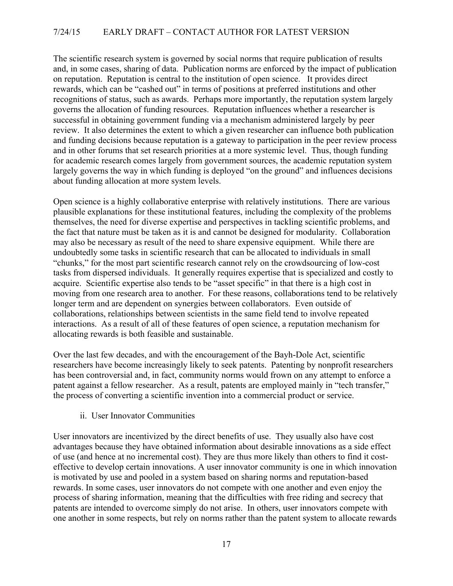The scientific research system is governed by social norms that require publication of results and, in some cases, sharing of data. Publication norms are enforced by the impact of publication on reputation. Reputation is central to the institution of open science. It provides direct rewards, which can be "cashed out" in terms of positions at preferred institutions and other recognitions of status, such as awards. Perhaps more importantly, the reputation system largely governs the allocation of funding resources. Reputation influences whether a researcher is successful in obtaining government funding via a mechanism administered largely by peer review. It also determines the extent to which a given researcher can influence both publication and funding decisions because reputation is a gateway to participation in the peer review process and in other forums that set research priorities at a more systemic level. Thus, though funding for academic research comes largely from government sources, the academic reputation system largely governs the way in which funding is deployed "on the ground" and influences decisions about funding allocation at more system levels.

Open science is a highly collaborative enterprise with relatively institutions. There are various plausible explanations for these institutional features, including the complexity of the problems themselves, the need for diverse expertise and perspectives in tackling scientific problems, and the fact that nature must be taken as it is and cannot be designed for modularity. Collaboration may also be necessary as result of the need to share expensive equipment. While there are undoubtedly some tasks in scientific research that can be allocated to individuals in small "chunks," for the most part scientific research cannot rely on the crowdsourcing of low-cost tasks from dispersed individuals. It generally requires expertise that is specialized and costly to acquire. Scientific expertise also tends to be "asset specific" in that there is a high cost in moving from one research area to another. For these reasons, collaborations tend to be relatively longer term and are dependent on synergies between collaborators. Even outside of collaborations, relationships between scientists in the same field tend to involve repeated interactions. As a result of all of these features of open science, a reputation mechanism for allocating rewards is both feasible and sustainable.

Over the last few decades, and with the encouragement of the Bayh-Dole Act, scientific researchers have become increasingly likely to seek patents. Patenting by nonprofit researchers has been controversial and, in fact, community norms would frown on any attempt to enforce a patent against a fellow researcher. As a result, patents are employed mainly in "tech transfer," the process of converting a scientific invention into a commercial product or service.

ii. User Innovator Communities

User innovators are incentivized by the direct benefits of use. They usually also have cost advantages because they have obtained information about desirable innovations as a side effect of use (and hence at no incremental cost). They are thus more likely than others to find it costeffective to develop certain innovations. A user innovator community is one in which innovation is motivated by use and pooled in a system based on sharing norms and reputation-based rewards. In some cases, user innovators do not compete with one another and even enjoy the process of sharing information, meaning that the difficulties with free riding and secrecy that patents are intended to overcome simply do not arise. In others, user innovators compete with one another in some respects, but rely on norms rather than the patent system to allocate rewards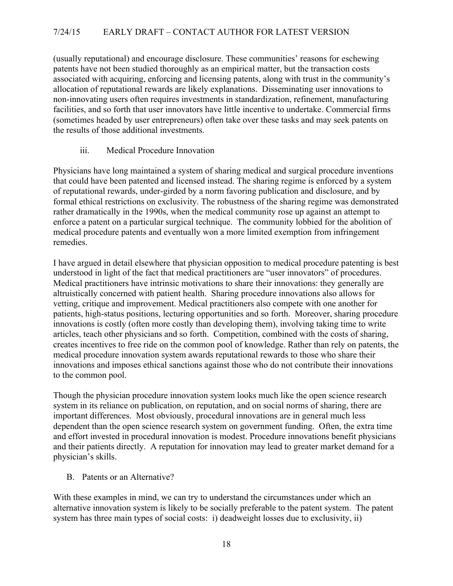(usually reputational) and encourage disclosure. These communities' reasons for eschewing patents have not been studied thoroughly as an empirical matter, but the transaction costs associated with acquiring, enforcing and licensing patents, along with trust in the community's allocation of reputational rewards are likely explanations. Disseminating user innovations to non-innovating users often requires investments in standardization, refinement, manufacturing facilities, and so forth that user innovators have little incentive to undertake. Commercial firms (sometimes headed by user entrepreneurs) often take over these tasks and may seek patents on the results of those additional investments.

iii. Medical Procedure Innovation

Physicians have long maintained a system of sharing medical and surgical procedure inventions that could have been patented and licensed instead. The sharing regime is enforced by a system of reputational rewards, under-girded by a norm favoring publication and disclosure, and by formal ethical restrictions on exclusivity. The robustness of the sharing regime was demonstrated rather dramatically in the 1990s, when the medical community rose up against an attempt to enforce a patent on a particular surgical technique. The community lobbied for the abolition of medical procedure patents and eventually won a more limited exemption from infringement remedies.

I have argued in detail elsewhere that physician opposition to medical procedure patenting is best understood in light of the fact that medical practitioners are "user innovators" of procedures. Medical practitioners have intrinsic motivations to share their innovations: they generally are altruistically concerned with patient health. Sharing procedure innovations also allows for vetting, critique and improvement. Medical practitioners also compete with one another for patients, high-status positions, lecturing opportunities and so forth. Moreover, sharing procedure innovations is costly (often more costly than developing them), involving taking time to write articles, teach other physicians and so forth. Competition, combined with the costs of sharing, creates incentives to free ride on the common pool of knowledge. Rather than rely on patents, the medical procedure innovation system awards reputational rewards to those who share their innovations and imposes ethical sanctions against those who do not contribute their innovations to the common pool.

Though the physician procedure innovation system looks much like the open science research system in its reliance on publication, on reputation, and on social norms of sharing, there are important differences. Most obviously, procedural innovations are in general much less dependent than the open science research system on government funding. Often, the extra time and effort invested in procedural innovation is modest. Procedure innovations benefit physicians and their patients directly. A reputation for innovation may lead to greater market demand for a physician's skills.

B. Patents or an Alternative?

With these examples in mind, we can try to understand the circumstances under which an alternative innovation system is likely to be socially preferable to the patent system. The patent system has three main types of social costs: i) deadweight losses due to exclusivity, ii)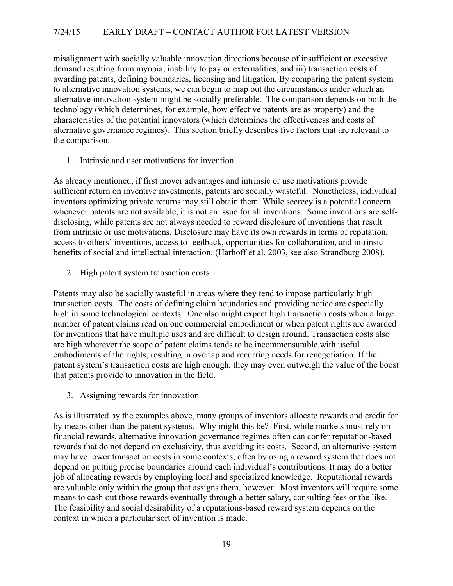misalignment with socially valuable innovation directions because of insufficient or excessive demand resulting from myopia, inability to pay or externalities, and iii) transaction costs of awarding patents, defining boundaries, licensing and litigation. By comparing the patent system to alternative innovation systems, we can begin to map out the circumstances under which an alternative innovation system might be socially preferable. The comparison depends on both the technology (which determines, for example, how effective patents are as property) and the characteristics of the potential innovators (which determines the effectiveness and costs of alternative governance regimes). This section briefly describes five factors that are relevant to the comparison.

1. Intrinsic and user motivations for invention

As already mentioned, if first mover advantages and intrinsic or use motivations provide sufficient return on inventive investments, patents are socially wasteful. Nonetheless, individual inventors optimizing private returns may still obtain them. While secrecy is a potential concern whenever patents are not available, it is not an issue for all inventions. Some inventions are selfdisclosing, while patents are not always needed to reward disclosure of inventions that result from intrinsic or use motivations. Disclosure may have its own rewards in terms of reputation, access to others' inventions, access to feedback, opportunities for collaboration, and intrinsic benefits of social and intellectual interaction. (Harhoff et al. 2003, see also Strandburg 2008).

2. High patent system transaction costs

Patents may also be socially wasteful in areas where they tend to impose particularly high transaction costs. The costs of defining claim boundaries and providing notice are especially high in some technological contexts. One also might expect high transaction costs when a large number of patent claims read on one commercial embodiment or when patent rights are awarded for inventions that have multiple uses and are difficult to design around. Transaction costs also are high wherever the scope of patent claims tends to be incommensurable with useful embodiments of the rights, resulting in overlap and recurring needs for renegotiation. If the patent system's transaction costs are high enough, they may even outweigh the value of the boost that patents provide to innovation in the field.

3. Assigning rewards for innovation

As is illustrated by the examples above, many groups of inventors allocate rewards and credit for by means other than the patent systems. Why might this be? First, while markets must rely on financial rewards, alternative innovation governance regimes often can confer reputation-based rewards that do not depend on exclusivity, thus avoiding its costs. Second, an alternative system may have lower transaction costs in some contexts, often by using a reward system that does not depend on putting precise boundaries around each individual's contributions. It may do a better job of allocating rewards by employing local and specialized knowledge. Reputational rewards are valuable only within the group that assigns them, however. Most inventors will require some means to cash out those rewards eventually through a better salary, consulting fees or the like. The feasibility and social desirability of a reputations-based reward system depends on the context in which a particular sort of invention is made.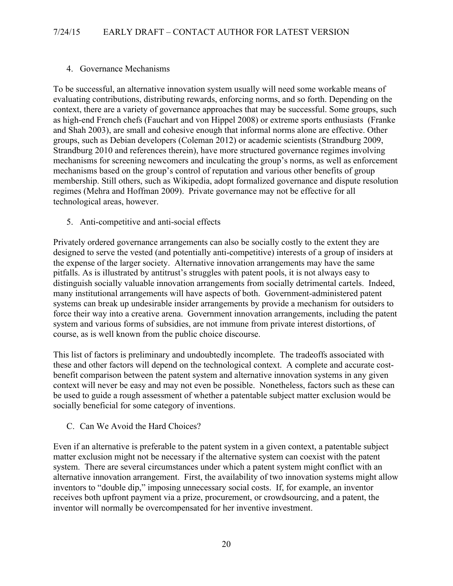# 4. Governance Mechanisms

To be successful, an alternative innovation system usually will need some workable means of evaluating contributions, distributing rewards, enforcing norms, and so forth. Depending on the context, there are a variety of governance approaches that may be successful. Some groups, such as high-end French chefs (Fauchart and von Hippel 2008) or extreme sports enthusiasts (Franke and Shah 2003), are small and cohesive enough that informal norms alone are effective. Other groups, such as Debian developers (Coleman 2012) or academic scientists (Strandburg 2009, Strandburg 2010 and references therein), have more structured governance regimes involving mechanisms for screening newcomers and inculcating the group's norms, as well as enforcement mechanisms based on the group's control of reputation and various other benefits of group membership. Still others, such as Wikipedia, adopt formalized governance and dispute resolution regimes (Mehra and Hoffman 2009). Private governance may not be effective for all technological areas, however.

5. Anti-competitive and anti-social effects

Privately ordered governance arrangements can also be socially costly to the extent they are designed to serve the vested (and potentially anti-competitive) interests of a group of insiders at the expense of the larger society. Alternative innovation arrangements may have the same pitfalls. As is illustrated by antitrust's struggles with patent pools, it is not always easy to distinguish socially valuable innovation arrangements from socially detrimental cartels. Indeed, many institutional arrangements will have aspects of both. Government-administered patent systems can break up undesirable insider arrangements by provide a mechanism for outsiders to force their way into a creative arena. Government innovation arrangements, including the patent system and various forms of subsidies, are not immune from private interest distortions, of course, as is well known from the public choice discourse.

This list of factors is preliminary and undoubtedly incomplete. The tradeoffs associated with these and other factors will depend on the technological context. A complete and accurate costbenefit comparison between the patent system and alternative innovation systems in any given context will never be easy and may not even be possible. Nonetheless, factors such as these can be used to guide a rough assessment of whether a patentable subject matter exclusion would be socially beneficial for some category of inventions.

C. Can We Avoid the Hard Choices?

Even if an alternative is preferable to the patent system in a given context, a patentable subject matter exclusion might not be necessary if the alternative system can coexist with the patent system. There are several circumstances under which a patent system might conflict with an alternative innovation arrangement. First, the availability of two innovation systems might allow inventors to "double dip," imposing unnecessary social costs. If, for example, an inventor receives both upfront payment via a prize, procurement, or crowdsourcing, and a patent, the inventor will normally be overcompensated for her inventive investment.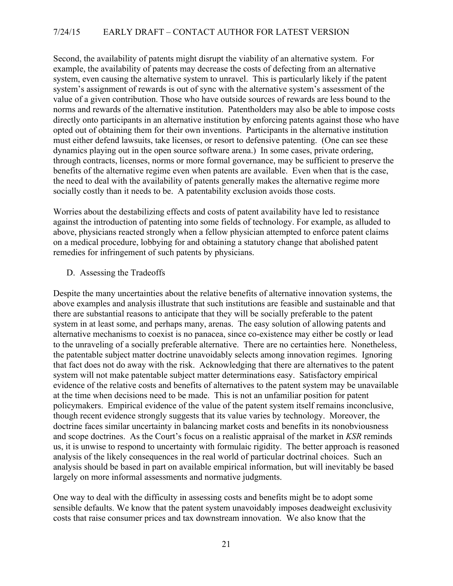Second, the availability of patents might disrupt the viability of an alternative system. For example, the availability of patents may decrease the costs of defecting from an alternative system, even causing the alternative system to unravel. This is particularly likely if the patent system's assignment of rewards is out of sync with the alternative system's assessment of the value of a given contribution. Those who have outside sources of rewards are less bound to the norms and rewards of the alternative institution. Patentholders may also be able to impose costs directly onto participants in an alternative institution by enforcing patents against those who have opted out of obtaining them for their own inventions. Participants in the alternative institution must either defend lawsuits, take licenses, or resort to defensive patenting. (One can see these dynamics playing out in the open source software arena.) In some cases, private ordering, through contracts, licenses, norms or more formal governance, may be sufficient to preserve the benefits of the alternative regime even when patents are available. Even when that is the case, the need to deal with the availability of patents generally makes the alternative regime more socially costly than it needs to be. A patentability exclusion avoids those costs.

Worries about the destabilizing effects and costs of patent availability have led to resistance against the introduction of patenting into some fields of technology. For example, as alluded to above, physicians reacted strongly when a fellow physician attempted to enforce patent claims on a medical procedure, lobbying for and obtaining a statutory change that abolished patent remedies for infringement of such patents by physicians.

D. Assessing the Tradeoffs

Despite the many uncertainties about the relative benefits of alternative innovation systems, the above examples and analysis illustrate that such institutions are feasible and sustainable and that there are substantial reasons to anticipate that they will be socially preferable to the patent system in at least some, and perhaps many, arenas. The easy solution of allowing patents and alternative mechanisms to coexist is no panacea, since co-existence may either be costly or lead to the unraveling of a socially preferable alternative. There are no certainties here. Nonetheless, the patentable subject matter doctrine unavoidably selects among innovation regimes. Ignoring that fact does not do away with the risk. Acknowledging that there are alternatives to the patent system will not make patentable subject matter determinations easy. Satisfactory empirical evidence of the relative costs and benefits of alternatives to the patent system may be unavailable at the time when decisions need to be made. This is not an unfamiliar position for patent policymakers. Empirical evidence of the value of the patent system itself remains inconclusive, though recent evidence strongly suggests that its value varies by technology. Moreover, the doctrine faces similar uncertainty in balancing market costs and benefits in its nonobviousness and scope doctrines. As the Court's focus on a realistic appraisal of the market in *KSR* reminds us, it is unwise to respond to uncertainty with formulaic rigidity. The better approach is reasoned analysis of the likely consequences in the real world of particular doctrinal choices. Such an analysis should be based in part on available empirical information, but will inevitably be based largely on more informal assessments and normative judgments.

One way to deal with the difficulty in assessing costs and benefits might be to adopt some sensible defaults. We know that the patent system unavoidably imposes deadweight exclusivity costs that raise consumer prices and tax downstream innovation. We also know that the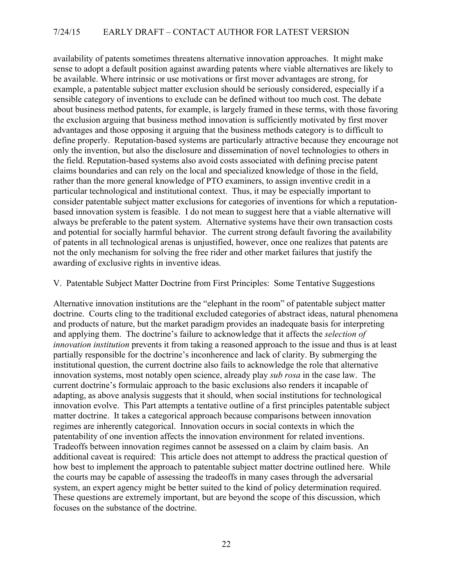availability of patents sometimes threatens alternative innovation approaches. It might make sense to adopt a default position against awarding patents where viable alternatives are likely to be available. Where intrinsic or use motivations or first mover advantages are strong, for example, a patentable subject matter exclusion should be seriously considered, especially if a sensible category of inventions to exclude can be defined without too much cost. The debate about business method patents, for example, is largely framed in these terms, with those favoring the exclusion arguing that business method innovation is sufficiently motivated by first mover advantages and those opposing it arguing that the business methods category is to difficult to define properly. Reputation-based systems are particularly attractive because they encourage not only the invention, but also the disclosure and dissemination of novel technologies to others in the field. Reputation-based systems also avoid costs associated with defining precise patent claims boundaries and can rely on the local and specialized knowledge of those in the field, rather than the more general knowledge of PTO examiners, to assign inventive credit in a particular technological and institutional context. Thus, it may be especially important to consider patentable subject matter exclusions for categories of inventions for which a reputationbased innovation system is feasible. I do not mean to suggest here that a viable alternative will always be preferable to the patent system. Alternative systems have their own transaction costs and potential for socially harmful behavior. The current strong default favoring the availability of patents in all technological arenas is unjustified, however, once one realizes that patents are not the only mechanism for solving the free rider and other market failures that justify the awarding of exclusive rights in inventive ideas.

#### V. Patentable Subject Matter Doctrine from First Principles: Some Tentative Suggestions

Alternative innovation institutions are the "elephant in the room" of patentable subject matter doctrine. Courts cling to the traditional excluded categories of abstract ideas, natural phenomena and products of nature, but the market paradigm provides an inadequate basis for interpreting and applying them. The doctrine's failure to acknowledge that it affects the *selection of innovation institution* prevents it from taking a reasoned approach to the issue and thus is at least partially responsible for the doctrine's inconherence and lack of clarity. By submerging the institutional question, the current doctrine also fails to acknowledge the role that alternative innovation systems, most notably open science, already play *sub rosa* in the case law. The current doctrine's formulaic approach to the basic exclusions also renders it incapable of adapting, as above analysis suggests that it should, when social institutions for technological innovation evolve. This Part attempts a tentative outline of a first principles patentable subject matter doctrine. It takes a categorical approach because comparisons between innovation regimes are inherently categorical. Innovation occurs in social contexts in which the patentability of one invention affects the innovation environment for related inventions. Tradeoffs between innovation regimes cannot be assessed on a claim by claim basis. An additional caveat is required: This article does not attempt to address the practical question of how best to implement the approach to patentable subject matter doctrine outlined here. While the courts may be capable of assessing the tradeoffs in many cases through the adversarial system, an expert agency might be better suited to the kind of policy determination required. These questions are extremely important, but are beyond the scope of this discussion, which focuses on the substance of the doctrine.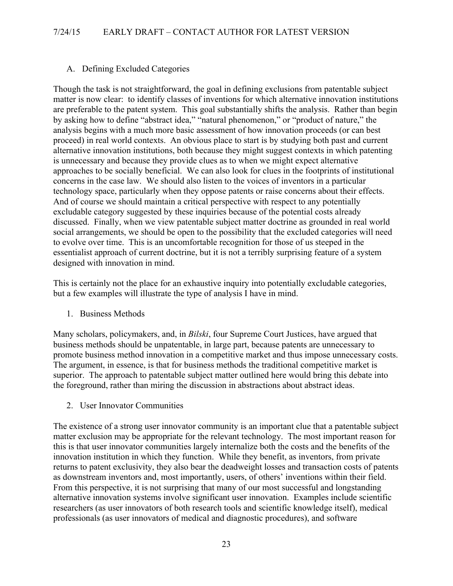# A. Defining Excluded Categories

Though the task is not straightforward, the goal in defining exclusions from patentable subject matter is now clear: to identify classes of inventions for which alternative innovation institutions are preferable to the patent system. This goal substantially shifts the analysis. Rather than begin by asking how to define "abstract idea," "natural phenomenon," or "product of nature," the analysis begins with a much more basic assessment of how innovation proceeds (or can best proceed) in real world contexts. An obvious place to start is by studying both past and current alternative innovation institutions, both because they might suggest contexts in which patenting is unnecessary and because they provide clues as to when we might expect alternative approaches to be socially beneficial. We can also look for clues in the footprints of institutional concerns in the case law. We should also listen to the voices of inventors in a particular technology space, particularly when they oppose patents or raise concerns about their effects. And of course we should maintain a critical perspective with respect to any potentially excludable category suggested by these inquiries because of the potential costs already discussed. Finally, when we view patentable subject matter doctrine as grounded in real world social arrangements, we should be open to the possibility that the excluded categories will need to evolve over time. This is an uncomfortable recognition for those of us steeped in the essentialist approach of current doctrine, but it is not a terribly surprising feature of a system designed with innovation in mind.

This is certainly not the place for an exhaustive inquiry into potentially excludable categories, but a few examples will illustrate the type of analysis I have in mind.

1. Business Methods

Many scholars, policymakers, and, in *Bilski*, four Supreme Court Justices, have argued that business methods should be unpatentable, in large part, because patents are unnecessary to promote business method innovation in a competitive market and thus impose unnecessary costs. The argument, in essence, is that for business methods the traditional competitive market is superior. The approach to patentable subject matter outlined here would bring this debate into the foreground, rather than miring the discussion in abstractions about abstract ideas.

2. User Innovator Communities

The existence of a strong user innovator community is an important clue that a patentable subject matter exclusion may be appropriate for the relevant technology. The most important reason for this is that user innovator communities largely internalize both the costs and the benefits of the innovation institution in which they function. While they benefit, as inventors, from private returns to patent exclusivity, they also bear the deadweight losses and transaction costs of patents as downstream inventors and, most importantly, users, of others' inventions within their field. From this perspective, it is not surprising that many of our most successful and longstanding alternative innovation systems involve significant user innovation. Examples include scientific researchers (as user innovators of both research tools and scientific knowledge itself), medical professionals (as user innovators of medical and diagnostic procedures), and software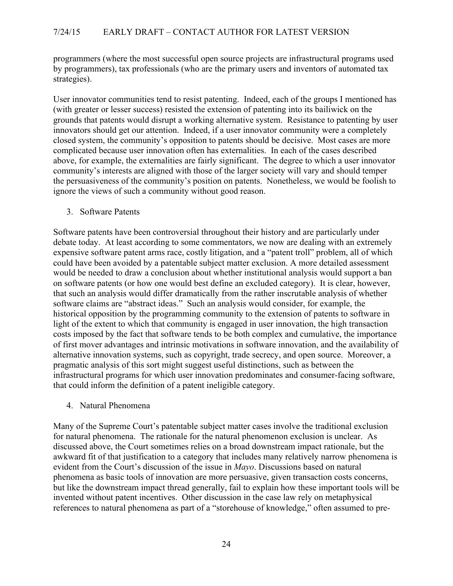programmers (where the most successful open source projects are infrastructural programs used by programmers), tax professionals (who are the primary users and inventors of automated tax strategies).

User innovator communities tend to resist patenting. Indeed, each of the groups I mentioned has (with greater or lesser success) resisted the extension of patenting into its bailiwick on the grounds that patents would disrupt a working alternative system. Resistance to patenting by user innovators should get our attention. Indeed, if a user innovator community were a completely closed system, the community's opposition to patents should be decisive. Most cases are more complicated because user innovation often has externalities. In each of the cases described above, for example, the externalities are fairly significant. The degree to which a user innovator community's interests are aligned with those of the larger society will vary and should temper the persuasiveness of the community's position on patents. Nonetheless, we would be foolish to ignore the views of such a community without good reason.

3. Software Patents

Software patents have been controversial throughout their history and are particularly under debate today. At least according to some commentators, we now are dealing with an extremely expensive software patent arms race, costly litigation, and a "patent troll" problem, all of which could have been avoided by a patentable subject matter exclusion. A more detailed assessment would be needed to draw a conclusion about whether institutional analysis would support a ban on software patents (or how one would best define an excluded category). It is clear, however, that such an analysis would differ dramatically from the rather inscrutable analysis of whether software claims are "abstract ideas." Such an analysis would consider, for example, the historical opposition by the programming community to the extension of patents to software in light of the extent to which that community is engaged in user innovation, the high transaction costs imposed by the fact that software tends to be both complex and cumulative, the importance of first mover advantages and intrinsic motivations in software innovation, and the availability of alternative innovation systems, such as copyright, trade secrecy, and open source. Moreover, a pragmatic analysis of this sort might suggest useful distinctions, such as between the infrastructural programs for which user innovation predominates and consumer-facing software, that could inform the definition of a patent ineligible category.

4. Natural Phenomena

Many of the Supreme Court's patentable subject matter cases involve the traditional exclusion for natural phenomena. The rationale for the natural phenomenon exclusion is unclear. As discussed above, the Court sometimes relies on a broad downstream impact rationale, but the awkward fit of that justification to a category that includes many relatively narrow phenomena is evident from the Court's discussion of the issue in *Mayo*. Discussions based on natural phenomena as basic tools of innovation are more persuasive, given transaction costs concerns, but like the downstream impact thread generally, fail to explain how these important tools will be invented without patent incentives. Other discussion in the case law rely on metaphysical references to natural phenomena as part of a "storehouse of knowledge," often assumed to pre-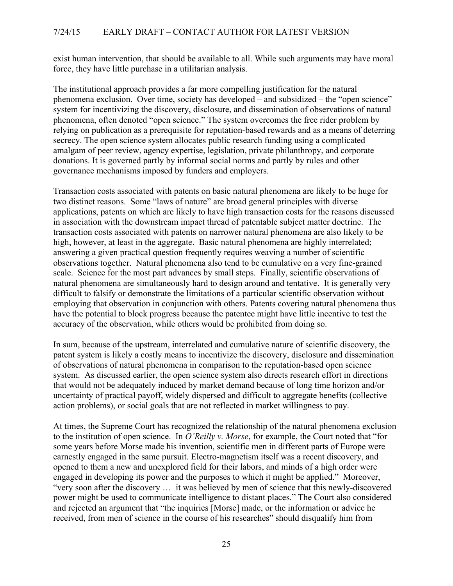exist human intervention, that should be available to all. While such arguments may have moral force, they have little purchase in a utilitarian analysis.

The institutional approach provides a far more compelling justification for the natural phenomena exclusion. Over time, society has developed – and subsidized – the "open science" system for incentivizing the discovery, disclosure, and dissemination of observations of natural phenomena, often denoted "open science." The system overcomes the free rider problem by relying on publication as a prerequisite for reputation-based rewards and as a means of deterring secrecy. The open science system allocates public research funding using a complicated amalgam of peer review, agency expertise, legislation, private philanthropy, and corporate donations. It is governed partly by informal social norms and partly by rules and other governance mechanisms imposed by funders and employers.

Transaction costs associated with patents on basic natural phenomena are likely to be huge for two distinct reasons. Some "laws of nature" are broad general principles with diverse applications, patents on which are likely to have high transaction costs for the reasons discussed in association with the downstream impact thread of patentable subject matter doctrine. The transaction costs associated with patents on narrower natural phenomena are also likely to be high, however, at least in the aggregate. Basic natural phenomena are highly interrelated; answering a given practical question frequently requires weaving a number of scientific observations together. Natural phenomena also tend to be cumulative on a very fine-grained scale. Science for the most part advances by small steps. Finally, scientific observations of natural phenomena are simultaneously hard to design around and tentative. It is generally very difficult to falsify or demonstrate the limitations of a particular scientific observation without employing that observation in conjunction with others. Patents covering natural phenomena thus have the potential to block progress because the patentee might have little incentive to test the accuracy of the observation, while others would be prohibited from doing so.

In sum, because of the upstream, interrelated and cumulative nature of scientific discovery, the patent system is likely a costly means to incentivize the discovery, disclosure and dissemination of observations of natural phenomena in comparison to the reputation-based open science system. As discussed earlier, the open science system also directs research effort in directions that would not be adequately induced by market demand because of long time horizon and/or uncertainty of practical payoff, widely dispersed and difficult to aggregate benefits (collective action problems), or social goals that are not reflected in market willingness to pay.

At times, the Supreme Court has recognized the relationship of the natural phenomena exclusion to the institution of open science. In *O'Reilly v. Morse*, for example, the Court noted that "for some years before Morse made his invention, scientific men in different parts of Europe were earnestly engaged in the same pursuit. Electro-magnetism itself was a recent discovery, and opened to them a new and unexplored field for their labors, and minds of a high order were engaged in developing its power and the purposes to which it might be applied." Moreover, "very soon after the discovery … it was believed by men of science that this newly-discovered power might be used to communicate intelligence to distant places." The Court also considered and rejected an argument that "the inquiries [Morse] made, or the information or advice he received, from men of science in the course of his researches" should disqualify him from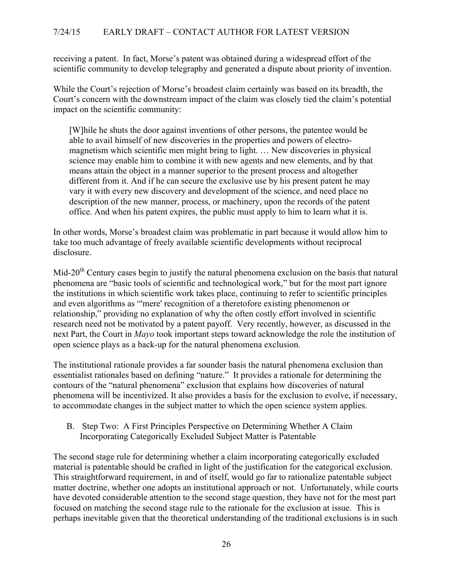receiving a patent. In fact, Morse's patent was obtained during a widespread effort of the scientific community to develop telegraphy and generated a dispute about priority of invention.

While the Court's rejection of Morse's broadest claim certainly was based on its breadth, the Court's concern with the downstream impact of the claim was closely tied the claim's potential impact on the scientific community:

[W]hile he shuts the door against inventions of other persons, the patentee would be able to avail himself of new discoveries in the properties and powers of electromagnetism which scientific men might bring to light. … New discoveries in physical science may enable him to combine it with new agents and new elements, and by that means attain the object in a manner superior to the present process and altogether different from it. And if he can secure the exclusive use by his present patent he may vary it with every new discovery and development of the science, and need place no description of the new manner, process, or machinery, upon the records of the patent office. And when his patent expires, the public must apply to him to learn what it is.

In other words, Morse's broadest claim was problematic in part because it would allow him to take too much advantage of freely available scientific developments without reciprocal disclosure.

Mid-20<sup>th</sup> Century cases begin to justify the natural phenomena exclusion on the basis that natural phenomena are "basic tools of scientific and technological work," but for the most part ignore the institutions in which scientific work takes place, continuing to refer to scientific principles and even algorithms as "'mere' recognition of a theretofore existing phenomenon or relationship," providing no explanation of why the often costly effort involved in scientific research need not be motivated by a patent payoff. Very recently, however, as discussed in the next Part, the Court in *Mayo* took important steps toward acknowledge the role the institution of open science plays as a back-up for the natural phenomena exclusion.

The institutional rationale provides a far sounder basis the natural phenomena exclusion than essentialist rationales based on defining "nature." It provides a rationale for determining the contours of the "natural phenomena" exclusion that explains how discoveries of natural phenomena will be incentivized. It also provides a basis for the exclusion to evolve, if necessary, to accommodate changes in the subject matter to which the open science system applies.

B. Step Two: A First Principles Perspective on Determining Whether A Claim Incorporating Categorically Excluded Subject Matter is Patentable

The second stage rule for determining whether a claim incorporating categorically excluded material is patentable should be crafted in light of the justification for the categorical exclusion. This straightforward requirement, in and of itself, would go far to rationalize patentable subject matter doctrine, whether one adopts an institutional approach or not. Unfortunately, while courts have devoted considerable attention to the second stage question, they have not for the most part focused on matching the second stage rule to the rationale for the exclusion at issue. This is perhaps inevitable given that the theoretical understanding of the traditional exclusions is in such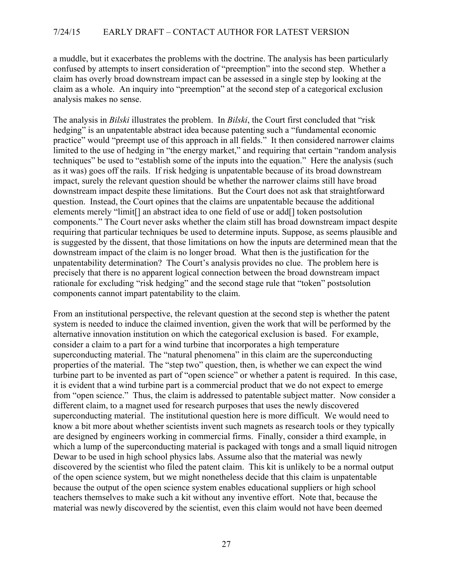a muddle, but it exacerbates the problems with the doctrine. The analysis has been particularly confused by attempts to insert consideration of "preemption" into the second step. Whether a claim has overly broad downstream impact can be assessed in a single step by looking at the claim as a whole. An inquiry into "preemption" at the second step of a categorical exclusion analysis makes no sense.

The analysis in *Bilski* illustrates the problem. In *Bilski*, the Court first concluded that "risk hedging" is an unpatentable abstract idea because patenting such a "fundamental economic practice" would "preempt use of this approach in all fields." It then considered narrower claims limited to the use of hedging in "the energy market," and requiring that certain "random analysis techniques" be used to "establish some of the inputs into the equation." Here the analysis (such as it was) goes off the rails. If risk hedging is unpatentable because of its broad downstream impact, surely the relevant question should be whether the narrower claims still have broad downstream impact despite these limitations. But the Court does not ask that straightforward question. Instead, the Court opines that the claims are unpatentable because the additional elements merely "limit[] an abstract idea to one field of use or add[] token postsolution components." The Court never asks whether the claim still has broad downstream impact despite requiring that particular techniques be used to determine inputs. Suppose, as seems plausible and is suggested by the dissent, that those limitations on how the inputs are determined mean that the downstream impact of the claim is no longer broad. What then is the justification for the unpatentability determination? The Court's analysis provides no clue. The problem here is precisely that there is no apparent logical connection between the broad downstream impact rationale for excluding "risk hedging" and the second stage rule that "token" postsolution components cannot impart patentability to the claim.

From an institutional perspective, the relevant question at the second step is whether the patent system is needed to induce the claimed invention, given the work that will be performed by the alternative innovation institution on which the categorical exclusion is based. For example, consider a claim to a part for a wind turbine that incorporates a high temperature superconducting material. The "natural phenomena" in this claim are the superconducting properties of the material. The "step two" question, then, is whether we can expect the wind turbine part to be invented as part of "open science" or whether a patent is required. In this case, it is evident that a wind turbine part is a commercial product that we do not expect to emerge from "open science." Thus, the claim is addressed to patentable subject matter. Now consider a different claim, to a magnet used for research purposes that uses the newly discovered superconducting material. The institutional question here is more difficult. We would need to know a bit more about whether scientists invent such magnets as research tools or they typically are designed by engineers working in commercial firms. Finally, consider a third example, in which a lump of the superconducting material is packaged with tongs and a small liquid nitrogen Dewar to be used in high school physics labs. Assume also that the material was newly discovered by the scientist who filed the patent claim. This kit is unlikely to be a normal output of the open science system, but we might nonetheless decide that this claim is unpatentable because the output of the open science system enables educational suppliers or high school teachers themselves to make such a kit without any inventive effort. Note that, because the material was newly discovered by the scientist, even this claim would not have been deemed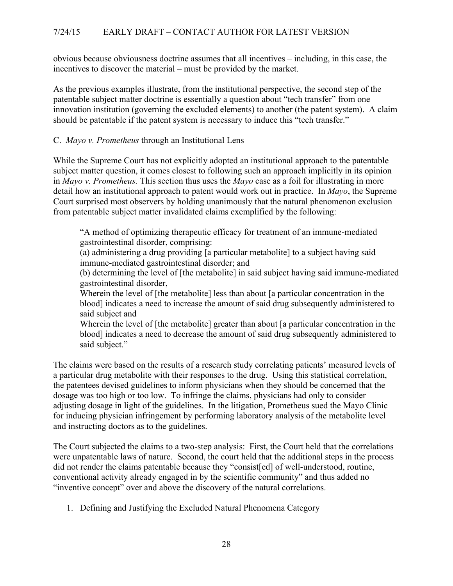obvious because obviousness doctrine assumes that all incentives – including, in this case, the incentives to discover the material – must be provided by the market.

As the previous examples illustrate, from the institutional perspective, the second step of the patentable subject matter doctrine is essentially a question about "tech transfer" from one innovation institution (governing the excluded elements) to another (the patent system). A claim should be patentable if the patent system is necessary to induce this "tech transfer."

# C. *Mayo v. Prometheus* through an Institutional Lens

While the Supreme Court has not explicitly adopted an institutional approach to the patentable subject matter question, it comes closest to following such an approach implicitly in its opinion in *Mayo v. Prometheus.* This section thus uses the *Mayo* case as a foil for illustrating in more detail how an institutional approach to patent would work out in practice. In *Mayo*, the Supreme Court surprised most observers by holding unanimously that the natural phenomenon exclusion from patentable subject matter invalidated claims exemplified by the following:

"A method of optimizing therapeutic efficacy for treatment of an immune-mediated gastrointestinal disorder, comprising:

(a) administering a drug providing [a particular metabolite] to a subject having said immune-mediated gastrointestinal disorder; and

(b) determining the level of [the metabolite] in said subject having said immune-mediated gastrointestinal disorder,

Wherein the level of [the metabolite] less than about [a particular concentration in the blood] indicates a need to increase the amount of said drug subsequently administered to said subject and

Wherein the level of [the metabolite] greater than about [a particular concentration in the blood] indicates a need to decrease the amount of said drug subsequently administered to said subject."

The claims were based on the results of a research study correlating patients' measured levels of a particular drug metabolite with their responses to the drug. Using this statistical correlation, the patentees devised guidelines to inform physicians when they should be concerned that the dosage was too high or too low. To infringe the claims, physicians had only to consider adjusting dosage in light of the guidelines. In the litigation, Prometheus sued the Mayo Clinic for inducing physician infringement by performing laboratory analysis of the metabolite level and instructing doctors as to the guidelines.

The Court subjected the claims to a two-step analysis: First, the Court held that the correlations were unpatentable laws of nature. Second, the court held that the additional steps in the process did not render the claims patentable because they "consist[ed] of well-understood, routine, conventional activity already engaged in by the scientific community" and thus added no "inventive concept" over and above the discovery of the natural correlations.

1. Defining and Justifying the Excluded Natural Phenomena Category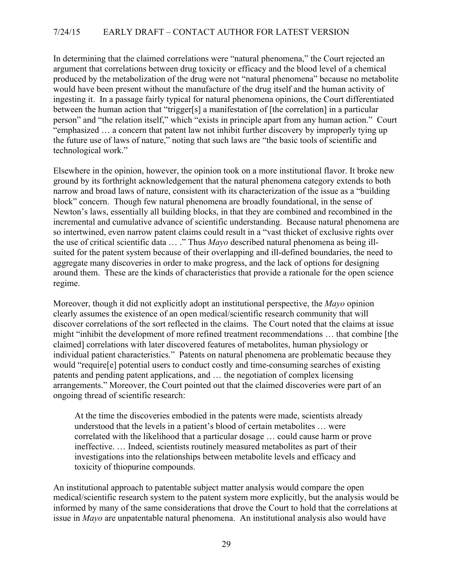In determining that the claimed correlations were "natural phenomena," the Court rejected an argument that correlations between drug toxicity or efficacy and the blood level of a chemical produced by the metabolization of the drug were not "natural phenomena" because no metabolite would have been present without the manufacture of the drug itself and the human activity of ingesting it. In a passage fairly typical for natural phenomena opinions, the Court differentiated between the human action that "trigger[s] a manifestation of [the correlation] in a particular person" and "the relation itself," which "exists in principle apart from any human action." Court "emphasized … a concern that patent law not inhibit further discovery by improperly tying up the future use of laws of nature," noting that such laws are "the basic tools of scientific and technological work."

Elsewhere in the opinion, however, the opinion took on a more institutional flavor. It broke new ground by its forthright acknowledgement that the natural phenomena category extends to both narrow and broad laws of nature, consistent with its characterization of the issue as a "building block" concern. Though few natural phenomena are broadly foundational, in the sense of Newton's laws, essentially all building blocks, in that they are combined and recombined in the incremental and cumulative advance of scientific understanding. Because natural phenomena are so intertwined, even narrow patent claims could result in a "vast thicket of exclusive rights over the use of critical scientific data … ." Thus *Mayo* described natural phenomena as being illsuited for the patent system because of their overlapping and ill-defined boundaries, the need to aggregate many discoveries in order to make progress, and the lack of options for designing around them. These are the kinds of characteristics that provide a rationale for the open science regime.

Moreover, though it did not explicitly adopt an institutional perspective, the *Mayo* opinion clearly assumes the existence of an open medical/scientific research community that will discover correlations of the sort reflected in the claims. The Court noted that the claims at issue might "inhibit the development of more refined treatment recommendations … that combine [the claimed] correlations with later discovered features of metabolites, human physiology or individual patient characteristics." Patents on natural phenomena are problematic because they would "require[e] potential users to conduct costly and time-consuming searches of existing patents and pending patent applications, and … the negotiation of complex licensing arrangements." Moreover, the Court pointed out that the claimed discoveries were part of an ongoing thread of scientific research:

At the time the discoveries embodied in the patents were made, scientists already understood that the levels in a patient's blood of certain metabolites … were correlated with the likelihood that a particular dosage … could cause harm or prove ineffective. … Indeed, scientists routinely measured metabolites as part of their investigations into the relationships between metabolite levels and efficacy and toxicity of thiopurine compounds.

An institutional approach to patentable subject matter analysis would compare the open medical/scientific research system to the patent system more explicitly, but the analysis would be informed by many of the same considerations that drove the Court to hold that the correlations at issue in *Mayo* are unpatentable natural phenomena. An institutional analysis also would have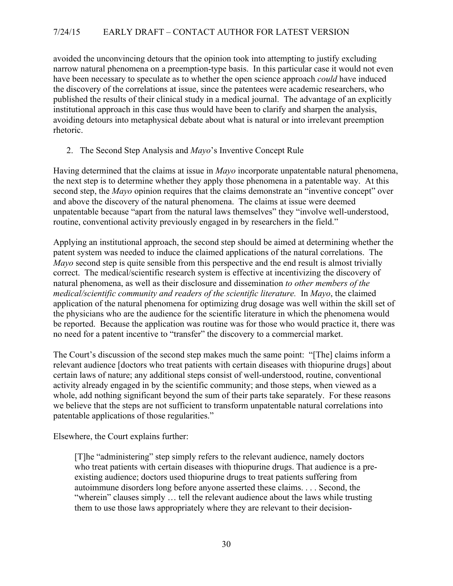avoided the unconvincing detours that the opinion took into attempting to justify excluding narrow natural phenomena on a preemption-type basis. In this particular case it would not even have been necessary to speculate as to whether the open science approach *could* have induced the discovery of the correlations at issue, since the patentees were academic researchers, who published the results of their clinical study in a medical journal. The advantage of an explicitly institutional approach in this case thus would have been to clarify and sharpen the analysis, avoiding detours into metaphysical debate about what is natural or into irrelevant preemption rhetoric.

# 2. The Second Step Analysis and *Mayo*'s Inventive Concept Rule

Having determined that the claims at issue in *Mayo* incorporate unpatentable natural phenomena, the next step is to determine whether they apply those phenomena in a patentable way. At this second step, the *Mayo* opinion requires that the claims demonstrate an "inventive concept" over and above the discovery of the natural phenomena. The claims at issue were deemed unpatentable because "apart from the natural laws themselves" they "involve well-understood, routine, conventional activity previously engaged in by researchers in the field."

Applying an institutional approach, the second step should be aimed at determining whether the patent system was needed to induce the claimed applications of the natural correlations. The *Mayo* second step is quite sensible from this perspective and the end result is almost trivially correct. The medical/scientific research system is effective at incentivizing the discovery of natural phenomena, as well as their disclosure and dissemination *to other members of the medical/scientific community and readers of the scientific literature.* In *Mayo*, the claimed application of the natural phenomena for optimizing drug dosage was well within the skill set of the physicians who are the audience for the scientific literature in which the phenomena would be reported. Because the application was routine was for those who would practice it, there was no need for a patent incentive to "transfer" the discovery to a commercial market.

The Court's discussion of the second step makes much the same point: "[The] claims inform a relevant audience [doctors who treat patients with certain diseases with thiopurine drugs] about certain laws of nature; any additional steps consist of well-understood, routine, conventional activity already engaged in by the scientific community; and those steps, when viewed as a whole, add nothing significant beyond the sum of their parts take separately. For these reasons we believe that the steps are not sufficient to transform unpatentable natural correlations into patentable applications of those regularities."

Elsewhere, the Court explains further:

[T]he "administering" step simply refers to the relevant audience, namely doctors who treat patients with certain diseases with thiopurine drugs. That audience is a preexisting audience; doctors used thiopurine drugs to treat patients suffering from autoimmune disorders long before anyone asserted these claims. . . . Second, the "wherein" clauses simply … tell the relevant audience about the laws while trusting them to use those laws appropriately where they are relevant to their decision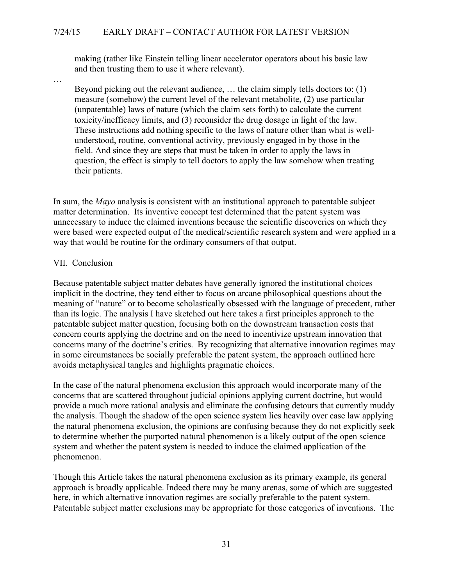making (rather like Einstein telling linear accelerator operators about his basic law and then trusting them to use it where relevant).

Beyond picking out the relevant audience, … the claim simply tells doctors to: (1) measure (somehow) the current level of the relevant metabolite, (2) use particular (unpatentable) laws of nature (which the claim sets forth) to calculate the current toxicity/inefficacy limits, and (3) reconsider the drug dosage in light of the law. These instructions add nothing specific to the laws of nature other than what is wellunderstood, routine, conventional activity, previously engaged in by those in the field. And since they are steps that must be taken in order to apply the laws in question, the effect is simply to tell doctors to apply the law somehow when treating their patients.

In sum, the *Mayo* analysis is consistent with an institutional approach to patentable subject matter determination. Its inventive concept test determined that the patent system was unnecessary to induce the claimed inventions because the scientific discoveries on which they were based were expected output of the medical/scientific research system and were applied in a way that would be routine for the ordinary consumers of that output.

#### VII. Conclusion

…

Because patentable subject matter debates have generally ignored the institutional choices implicit in the doctrine, they tend either to focus on arcane philosophical questions about the meaning of "nature" or to become scholastically obsessed with the language of precedent, rather than its logic. The analysis I have sketched out here takes a first principles approach to the patentable subject matter question, focusing both on the downstream transaction costs that concern courts applying the doctrine and on the need to incentivize upstream innovation that concerns many of the doctrine's critics. By recognizing that alternative innovation regimes may in some circumstances be socially preferable the patent system, the approach outlined here avoids metaphysical tangles and highlights pragmatic choices.

In the case of the natural phenomena exclusion this approach would incorporate many of the concerns that are scattered throughout judicial opinions applying current doctrine, but would provide a much more rational analysis and eliminate the confusing detours that currently muddy the analysis. Though the shadow of the open science system lies heavily over case law applying the natural phenomena exclusion, the opinions are confusing because they do not explicitly seek to determine whether the purported natural phenomenon is a likely output of the open science system and whether the patent system is needed to induce the claimed application of the phenomenon.

Though this Article takes the natural phenomena exclusion as its primary example, its general approach is broadly applicable. Indeed there may be many arenas, some of which are suggested here, in which alternative innovation regimes are socially preferable to the patent system. Patentable subject matter exclusions may be appropriate for those categories of inventions. The